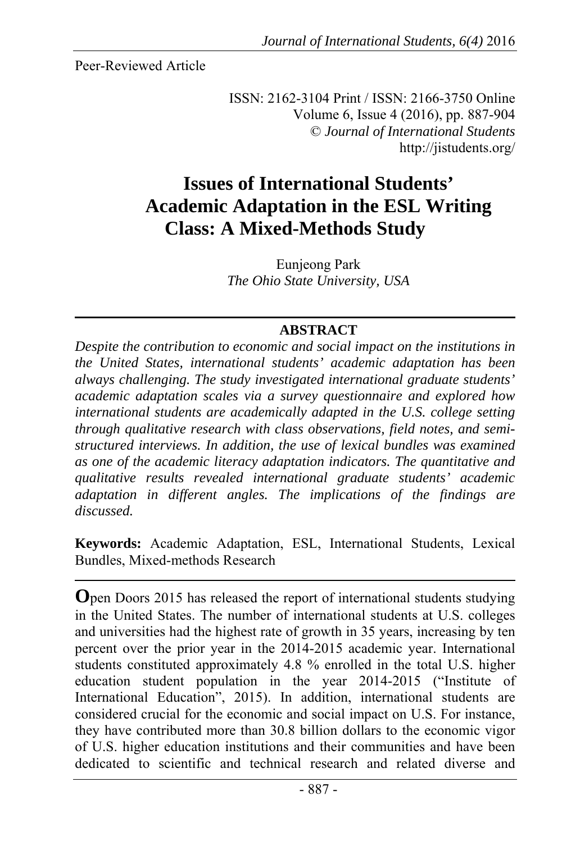Peer-Reviewed Article

ISSN: 2162-3104 Print / ISSN: 2166-3750 Online Volume 6, Issue 4 (2016), pp. 887-904 © *Journal of International Students*  http://jistudents.org/

# **Issues of International Students' Academic Adaptation in the ESL Writing Class: A Mixed-Methods Study**

Eunjeong Park *The Ohio State University, USA*

## **ABSTRACT**

*Despite the contribution to economic and social impact on the institutions in the United States, international students' academic adaptation has been always challenging. The study investigated international graduate students' academic adaptation scales via a survey questionnaire and explored how international students are academically adapted in the U.S. college setting through qualitative research with class observations, field notes, and semistructured interviews. In addition, the use of lexical bundles was examined as one of the academic literacy adaptation indicators. The quantitative and qualitative results revealed international graduate students' academic adaptation in different angles. The implications of the findings are discussed.*

**Keywords:** Academic Adaptation, ESL, International Students, Lexical Bundles, Mixed-methods Research

**O**pen Doors 2015 has released the report of international students studying in the United States. The number of international students at U.S. colleges and universities had the highest rate of growth in 35 years, increasing by ten percent over the prior year in the 2014-2015 academic year. International students constituted approximately 4.8 % enrolled in the total U.S. higher education student population in the year 2014-2015 ("Institute of International Education", 2015). In addition, international students are considered crucial for the economic and social impact on U.S. For instance, they have contributed more than 30.8 billion dollars to the economic vigor of U.S. higher education institutions and their communities and have been dedicated to scientific and technical research and related diverse and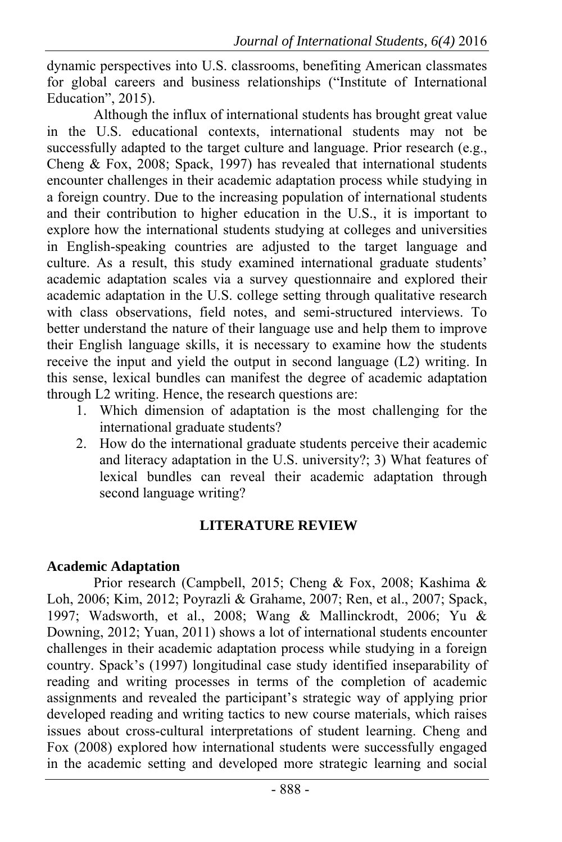dynamic perspectives into U.S. classrooms, benefiting American classmates for global careers and business relationships ("Institute of International Education", 2015).

Although the influx of international students has brought great value in the U.S. educational contexts, international students may not be successfully adapted to the target culture and language. Prior research (e.g., Cheng  $& Fox, 2008$ ; Spack, 1997) has revealed that international students encounter challenges in their academic adaptation process while studying in a foreign country. Due to the increasing population of international students and their contribution to higher education in the U.S., it is important to explore how the international students studying at colleges and universities in English-speaking countries are adjusted to the target language and culture. As a result, this study examined international graduate students' academic adaptation scales via a survey questionnaire and explored their academic adaptation in the U.S. college setting through qualitative research with class observations, field notes, and semi-structured interviews. To better understand the nature of their language use and help them to improve their English language skills, it is necessary to examine how the students receive the input and yield the output in second language (L2) writing. In this sense, lexical bundles can manifest the degree of academic adaptation through L2 writing. Hence, the research questions are:

- 1. Which dimension of adaptation is the most challenging for the international graduate students?
- 2. How do the international graduate students perceive their academic and literacy adaptation in the U.S. university?; 3) What features of lexical bundles can reveal their academic adaptation through second language writing?

# **LITERATURE REVIEW**

# **Academic Adaptation**

Prior research (Campbell, 2015; Cheng & Fox, 2008; Kashima & Loh, 2006; Kim, 2012; Poyrazli & Grahame, 2007; Ren, et al., 2007; Spack, 1997; Wadsworth, et al., 2008; Wang & Mallinckrodt, 2006; Yu & Downing, 2012; Yuan, 2011) shows a lot of international students encounter challenges in their academic adaptation process while studying in a foreign country. Spack's (1997) longitudinal case study identified inseparability of reading and writing processes in terms of the completion of academic assignments and revealed the participant's strategic way of applying prior developed reading and writing tactics to new course materials, which raises issues about cross-cultural interpretations of student learning. Cheng and Fox (2008) explored how international students were successfully engaged in the academic setting and developed more strategic learning and social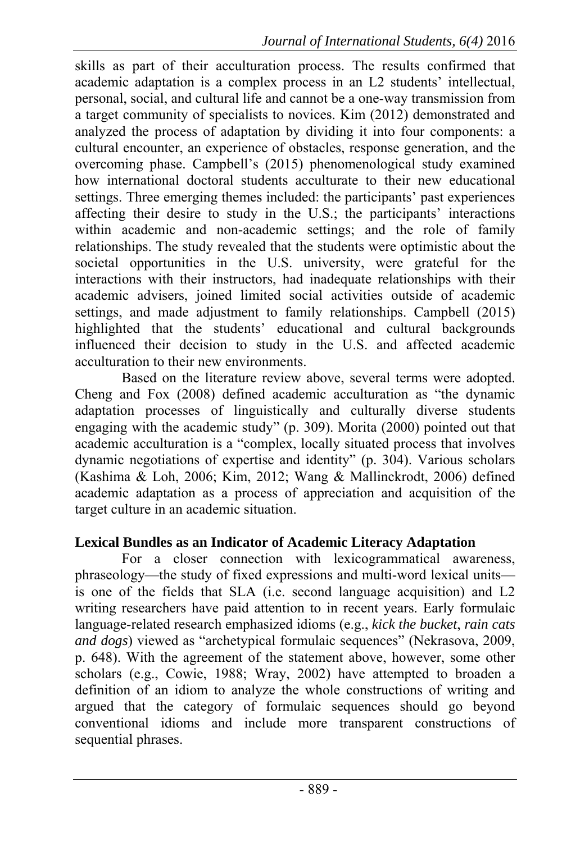skills as part of their acculturation process. The results confirmed that academic adaptation is a complex process in an L2 students' intellectual, personal, social, and cultural life and cannot be a one-way transmission from a target community of specialists to novices. Kim (2012) demonstrated and analyzed the process of adaptation by dividing it into four components: a cultural encounter, an experience of obstacles, response generation, and the overcoming phase. Campbell's (2015) phenomenological study examined how international doctoral students acculturate to their new educational settings. Three emerging themes included: the participants' past experiences affecting their desire to study in the U.S.; the participants' interactions within academic and non-academic settings; and the role of family relationships. The study revealed that the students were optimistic about the societal opportunities in the U.S. university, were grateful for the interactions with their instructors, had inadequate relationships with their academic advisers, joined limited social activities outside of academic settings, and made adjustment to family relationships. Campbell (2015) highlighted that the students' educational and cultural backgrounds influenced their decision to study in the U.S. and affected academic acculturation to their new environments.

Based on the literature review above, several terms were adopted. Cheng and Fox (2008) defined academic acculturation as "the dynamic adaptation processes of linguistically and culturally diverse students engaging with the academic study" (p. 309). Morita (2000) pointed out that academic acculturation is a "complex, locally situated process that involves dynamic negotiations of expertise and identity" (p. 304). Various scholars (Kashima & Loh, 2006; Kim, 2012; Wang & Mallinckrodt, 2006) defined academic adaptation as a process of appreciation and acquisition of the target culture in an academic situation.

## **Lexical Bundles as an Indicator of Academic Literacy Adaptation**

For a closer connection with lexicogrammatical awareness, phraseology—the study of fixed expressions and multi-word lexical units is one of the fields that SLA (i.e. second language acquisition) and L2 writing researchers have paid attention to in recent years. Early formulaic language-related research emphasized idioms (e.g., *kick the bucket*, *rain cats and dogs*) viewed as "archetypical formulaic sequences" (Nekrasova, 2009, p. 648). With the agreement of the statement above, however, some other scholars (e.g., Cowie, 1988; Wray, 2002) have attempted to broaden a definition of an idiom to analyze the whole constructions of writing and argued that the category of formulaic sequences should go beyond conventional idioms and include more transparent constructions of sequential phrases.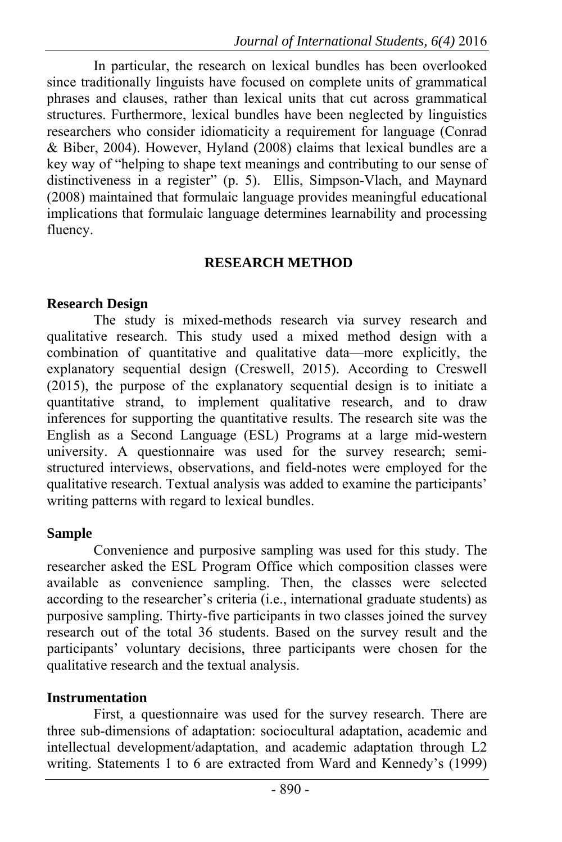In particular, the research on lexical bundles has been overlooked since traditionally linguists have focused on complete units of grammatical phrases and clauses, rather than lexical units that cut across grammatical structures. Furthermore, lexical bundles have been neglected by linguistics researchers who consider idiomaticity a requirement for language (Conrad & Biber, 2004). However, Hyland (2008) claims that lexical bundles are a key way of "helping to shape text meanings and contributing to our sense of distinctiveness in a register" (p. 5). Ellis, Simpson-Vlach, and Maynard (2008) maintained that formulaic language provides meaningful educational implications that formulaic language determines learnability and processing fluency.

## **RESEARCH METHOD**

## **Research Design**

The study is mixed-methods research via survey research and qualitative research. This study used a mixed method design with a combination of quantitative and qualitative data—more explicitly, the explanatory sequential design (Creswell, 2015). According to Creswell (2015), the purpose of the explanatory sequential design is to initiate a quantitative strand, to implement qualitative research, and to draw inferences for supporting the quantitative results. The research site was the English as a Second Language (ESL) Programs at a large mid-western university. A questionnaire was used for the survey research; semistructured interviews, observations, and field-notes were employed for the qualitative research. Textual analysis was added to examine the participants' writing patterns with regard to lexical bundles.

## **Sample**

Convenience and purposive sampling was used for this study. The researcher asked the ESL Program Office which composition classes were available as convenience sampling. Then, the classes were selected according to the researcher's criteria (i.e., international graduate students) as purposive sampling. Thirty-five participants in two classes joined the survey research out of the total 36 students. Based on the survey result and the participants' voluntary decisions, three participants were chosen for the qualitative research and the textual analysis.

# **Instrumentation**

First, a questionnaire was used for the survey research. There are three sub-dimensions of adaptation: sociocultural adaptation, academic and intellectual development/adaptation, and academic adaptation through L2 writing. Statements 1 to 6 are extracted from Ward and Kennedy's (1999)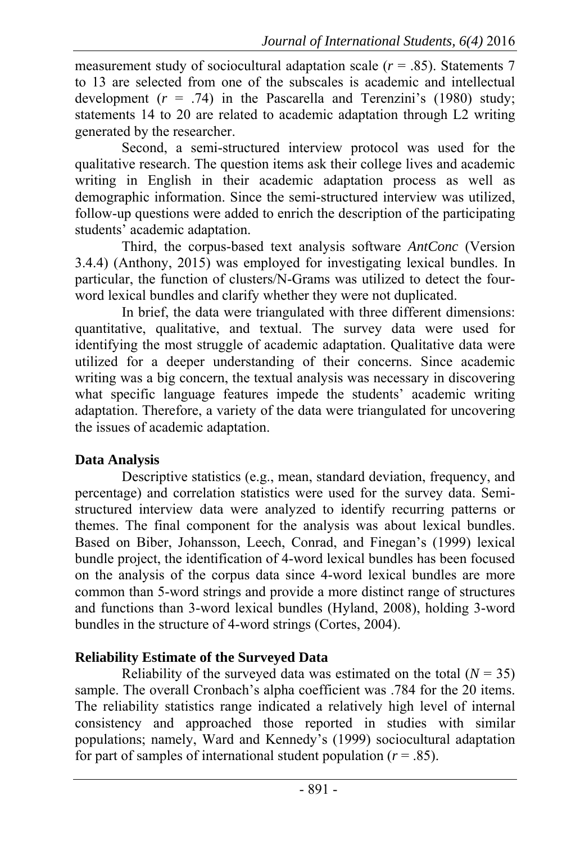measurement study of sociocultural adaptation scale (*r* = .85). Statements 7 to 13 are selected from one of the subscales is academic and intellectual development  $(r = .74)$  in the Pascarella and Terenzini's (1980) study; statements 14 to 20 are related to academic adaptation through L2 writing generated by the researcher.

Second, a semi-structured interview protocol was used for the qualitative research. The question items ask their college lives and academic writing in English in their academic adaptation process as well as demographic information. Since the semi-structured interview was utilized, follow-up questions were added to enrich the description of the participating students' academic adaptation.

Third, the corpus-based text analysis software *AntConc* (Version 3.4.4) (Anthony, 2015) was employed for investigating lexical bundles. In particular, the function of clusters/N-Grams was utilized to detect the fourword lexical bundles and clarify whether they were not duplicated.

In brief, the data were triangulated with three different dimensions: quantitative, qualitative, and textual. The survey data were used for identifying the most struggle of academic adaptation. Qualitative data were utilized for a deeper understanding of their concerns. Since academic writing was a big concern, the textual analysis was necessary in discovering what specific language features impede the students' academic writing adaptation. Therefore, a variety of the data were triangulated for uncovering the issues of academic adaptation.

## **Data Analysis**

Descriptive statistics (e.g., mean, standard deviation, frequency, and percentage) and correlation statistics were used for the survey data. Semistructured interview data were analyzed to identify recurring patterns or themes. The final component for the analysis was about lexical bundles. Based on Biber, Johansson, Leech, Conrad, and Finegan's (1999) lexical bundle project, the identification of 4-word lexical bundles has been focused on the analysis of the corpus data since 4-word lexical bundles are more common than 5-word strings and provide a more distinct range of structures and functions than 3-word lexical bundles (Hyland, 2008), holding 3-word bundles in the structure of 4-word strings (Cortes, 2004).

## **Reliability Estimate of the Surveyed Data**

Reliability of the surveyed data was estimated on the total  $(N = 35)$ sample. The overall Cronbach's alpha coefficient was .784 for the 20 items. The reliability statistics range indicated a relatively high level of internal consistency and approached those reported in studies with similar populations; namely, Ward and Kennedy's (1999) sociocultural adaptation for part of samples of international student population  $(r = .85)$ .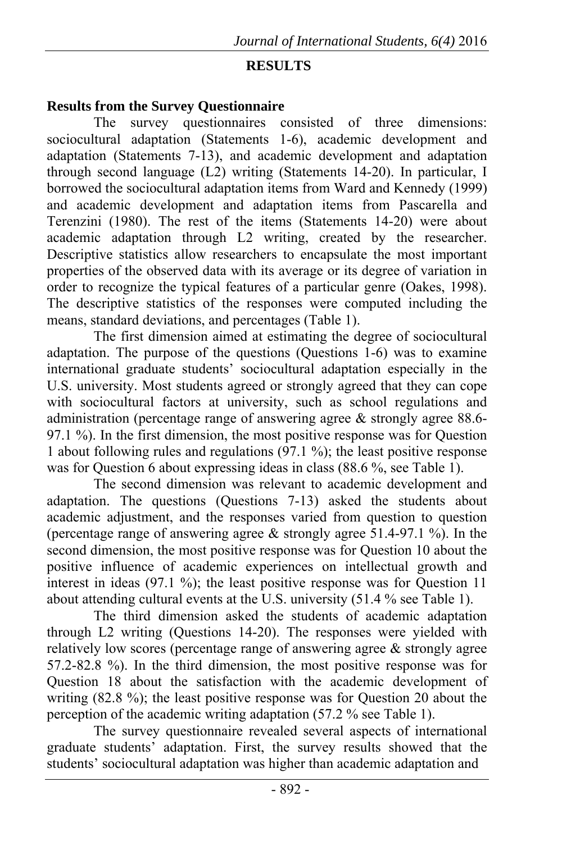## **RESULTS**

#### **Results from the Survey Questionnaire**

The survey questionnaires consisted of three dimensions: sociocultural adaptation (Statements 1-6), academic development and adaptation (Statements 7-13), and academic development and adaptation through second language (L2) writing (Statements 14-20). In particular, I borrowed the sociocultural adaptation items from Ward and Kennedy (1999) and academic development and adaptation items from Pascarella and Terenzini (1980). The rest of the items (Statements 14-20) were about academic adaptation through L2 writing, created by the researcher. Descriptive statistics allow researchers to encapsulate the most important properties of the observed data with its average or its degree of variation in order to recognize the typical features of a particular genre (Oakes, 1998). The descriptive statistics of the responses were computed including the means, standard deviations, and percentages (Table 1).

The first dimension aimed at estimating the degree of sociocultural adaptation. The purpose of the questions (Questions  $1-6$ ) was to examine international graduate students' sociocultural adaptation especially in the U.S. university. Most students agreed or strongly agreed that they can cope with sociocultural factors at university, such as school regulations and administration (percentage range of answering agree & strongly agree 88.6- 97.1 %). In the first dimension, the most positive response was for Question 1 about following rules and regulations (97.1 %); the least positive response was for Question 6 about expressing ideas in class (88.6 %, see Table 1).

The second dimension was relevant to academic development and adaptation. The questions (Questions 7-13) asked the students about academic adjustment, and the responses varied from question to question (percentage range of answering agree  $\&$  strongly agree 51.4-97.1 %). In the second dimension, the most positive response was for Question 10 about the positive influence of academic experiences on intellectual growth and interest in ideas  $(97.1 \%)$ ; the least positive response was for Question 11 about attending cultural events at the U.S. university (51.4 % see Table 1).

The third dimension asked the students of academic adaptation through L2 writing (Questions 14-20). The responses were yielded with relatively low scores (percentage range of answering agree  $\&$  strongly agree 57.2-82.8 %). In the third dimension, the most positive response was for Question 18 about the satisfaction with the academic development of writing (82.8 %); the least positive response was for Question 20 about the perception of the academic writing adaptation (57.2 % see Table 1).

The survey questionnaire revealed several aspects of international graduate students' adaptation. First, the survey results showed that the students' sociocultural adaptation was higher than academic adaptation and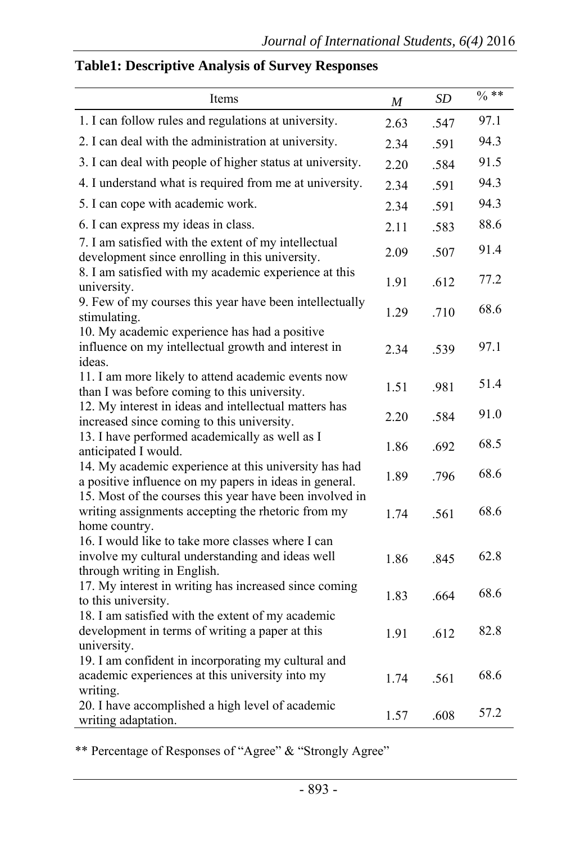# **Table1: Descriptive Analysis of Survey Responses**

| Items                                                                                                                                | $\boldsymbol{M}$ | SD   | $\sqrt{0}$ ** |
|--------------------------------------------------------------------------------------------------------------------------------------|------------------|------|---------------|
| 1. I can follow rules and regulations at university.                                                                                 | 2.63             | .547 | 97.1          |
| 2. I can deal with the administration at university.                                                                                 | 2.34             | .591 | 94.3          |
| 3. I can deal with people of higher status at university.                                                                            | 2.20             | .584 | 91.5          |
| 4. I understand what is required from me at university.                                                                              | 2.34             | .591 | 94.3          |
| 5. I can cope with academic work.                                                                                                    | 2.34             | .591 | 94.3          |
| 6. I can express my ideas in class.                                                                                                  | 2.11             | .583 | 88.6          |
| 7. I am satisfied with the extent of my intellectual<br>development since enrolling in this university.                              | 2.09             | .507 | 91.4          |
| 8. I am satisfied with my academic experience at this<br>university.                                                                 | 1.91             | .612 | 77.2          |
| 9. Few of my courses this year have been intellectually<br>stimulating.                                                              | 1.29             | .710 | 68.6          |
| 10. My academic experience has had a positive<br>influence on my intellectual growth and interest in<br>ideas.                       | 2.34             | .539 | 97.1          |
| 11. I am more likely to attend academic events now<br>than I was before coming to this university.                                   | 1.51             | .981 | 51.4          |
| 12. My interest in ideas and intellectual matters has<br>increased since coming to this university.                                  | 2.20             | .584 | 91.0          |
| 13. I have performed academically as well as I<br>anticipated I would.                                                               | 1.86             | .692 | 68.5          |
| 14. My academic experience at this university has had<br>a positive influence on my papers in ideas in general.                      | 1.89             | .796 | 68.6          |
| 15. Most of the courses this year have been involved in<br>writing assignments accepting the rhetoric from my<br>home country.       | 1.74             | .561 | 68.6          |
| 16. I would like to take more classes where I can<br>involve my cultural understanding and ideas well<br>through writing in English. | 1.86             | .845 | 62.8          |
| 17. My interest in writing has increased since coming<br>to this university.                                                         | 1.83             | .664 | 68.6          |
| 18. I am satisfied with the extent of my academic<br>development in terms of writing a paper at this<br>university.                  | 1.91             | .612 | 82.8          |
| 19. I am confident in incorporating my cultural and<br>academic experiences at this university into my<br>writing.                   | 1.74             | .561 | 68.6          |
| 20. I have accomplished a high level of academic<br>writing adaptation.                                                              | 1.57             | .608 | 57.2          |

\*\* Percentage of Responses of "Agree" & "Strongly Agree"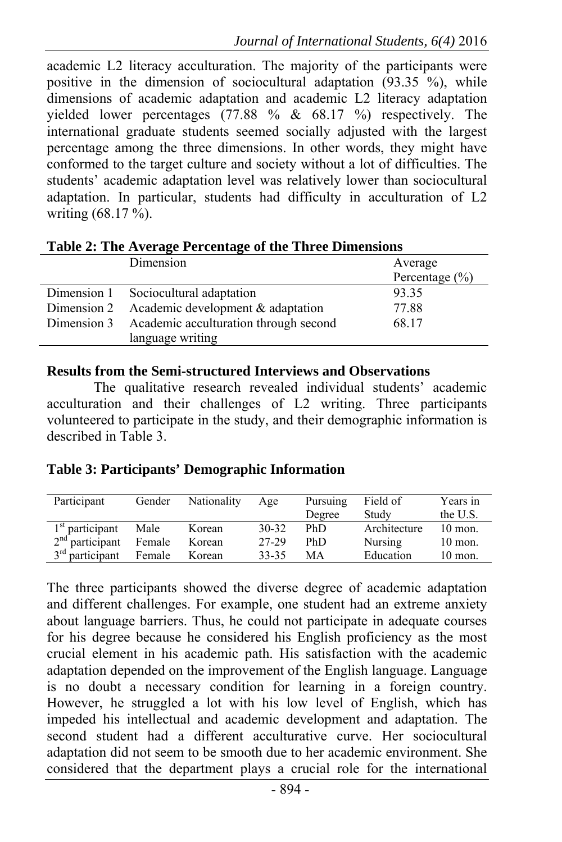academic L2 literacy acculturation. The majority of the participants were positive in the dimension of sociocultural adaptation  $(93.35\degree\%)$ , while dimensions of academic adaptation and academic L2 literacy adaptation yielded lower percentages (77.88 % & 68.17 %) respectively. The international graduate students seemed socially adjusted with the largest percentage among the three dimensions. In other words, they might have conformed to the target culture and society without a lot of difficulties. The students' academic adaptation level was relatively lower than sociocultural adaptation. In particular, students had difficulty in acculturation of L2 writing (68.17 %).

|  | Dimension                                         | Average<br>Percentage $(\% )$ |  |  |  |
|--|---------------------------------------------------|-------------------------------|--|--|--|
|  | Dimension 1 Sociocultural adaptation              | 93.35                         |  |  |  |
|  | Dimension 2 Academic development $&$ adaptation   | 77.88                         |  |  |  |
|  | Dimension 3 Academic acculturation through second | 68.17                         |  |  |  |
|  | language writing                                  |                               |  |  |  |

**Table 2: The Average Percentage of the Three Dimensions**

#### **Results from the Semi-structured Interviews and Observations**

The qualitative research revealed individual students' academic acculturation and their challenges of L2 writing. Three participants volunteered to participate in the study, and their demographic information is described in Table 3.

## **Table 3: Participants' Demographic Information**

| Participant       | Gender | Nationality | Age       | Pursuing | Field of     | Years in  |
|-------------------|--------|-------------|-----------|----------|--------------|-----------|
|                   |        |             |           | Degree   | Study        | the U.S.  |
| $1st$ participant | Male   | Korean      | $30 - 32$ | PhD      | Architecture | $10$ mon. |
| $2nd$ participant | Female | Korean      | 27-29     | PhD      | Nursing      | $10$ mon. |
| $3rd$ participant | Female | Korean      | 33-35     | MА       | Education    | $10$ mon. |

The three participants showed the diverse degree of academic adaptation and different challenges. For example, one student had an extreme anxiety about language barriers. Thus, he could not participate in adequate courses for his degree because he considered his English proficiency as the most crucial element in his academic path. His satisfaction with the academic adaptation depended on the improvement of the English language. Language is no doubt a necessary condition for learning in a foreign country. However, he struggled a lot with his low level of English, which has impeded his intellectual and academic development and adaptation. The second student had a different acculturative curve. Her sociocultural adaptation did not seem to be smooth due to her academic environment. She considered that the department plays a crucial role for the international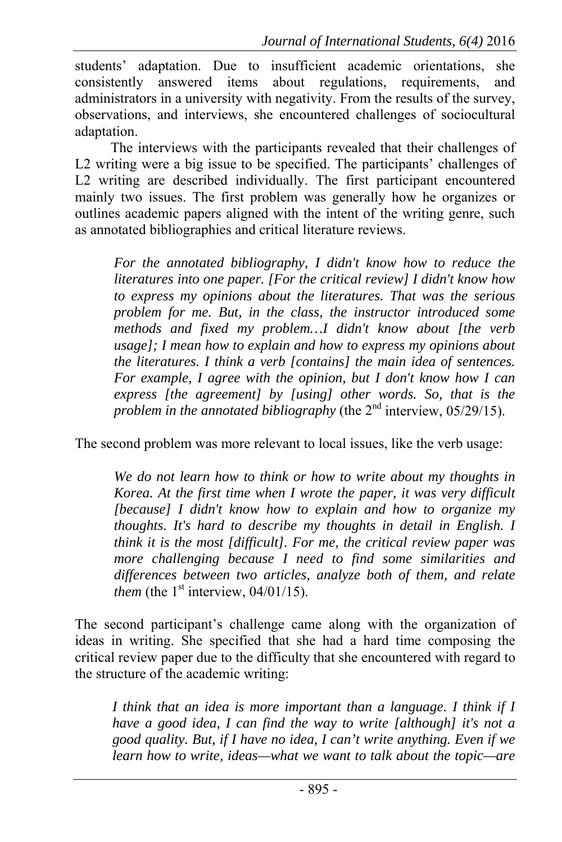students' adaptation. Due to insufficient academic orientations, she consistently answered items about regulations, requirements, and administrators in a university with negativity. From the results of the survey, observations, and interviews, she encountered challenges of sociocultural adaptation.

The interviews with the participants revealed that their challenges of L2 writing were a big issue to be specified. The participants' challenges of L2 writing are described individually. The first participant encountered mainly two issues. The first problem was generally how he organizes or outlines academic papers aligned with the intent of the writing genre, such as annotated bibliographies and critical literature reviews.

*For the annotated bibliography, I didn't know how to reduce the literatures into one paper. [For the critical review] I didn't know how to express my opinions about the literatures. That was the serious problem for me. But, in the class, the instructor introduced some methods and fixed my problem…I didn't know about [the verb usage]; I mean how to explain and how to express my opinions about the literatures. I think a verb [contains] the main idea of sentences. For example, I agree with the opinion, but I don't know how I can express [the agreement] by [using] other words. So, that is the problem in the annotated bibliography* (the 2<sup>nd</sup> interview, 05/29/15).

The second problem was more relevant to local issues, like the verb usage:

*We do not learn how to think or how to write about my thoughts in Korea. At the first time when I wrote the paper, it was very difficult [because] I didn't know how to explain and how to organize my thoughts. It's hard to describe my thoughts in detail in English. I think it is the most [difficult]. For me, the critical review paper was more challenging because I need to find some similarities and differences between two articles, analyze both of them, and relate them* (the  $1<sup>st</sup>$  interview,  $04/01/15$ ).

The second participant's challenge came along with the organization of ideas in writing. She specified that she had a hard time composing the critical review paper due to the difficulty that she encountered with regard to the structure of the academic writing:

*I think that an idea is more important than a language. I think if I have a good idea, I can find the way to write [although] it's not a good quality. But, if I have no idea, I can't write anything. Even if we learn how to write, ideas—what we want to talk about the topic—are*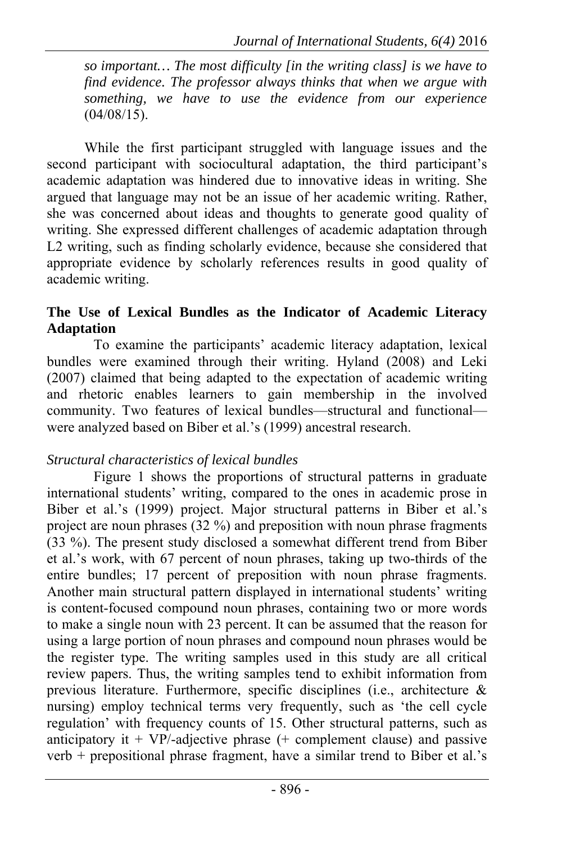*so important… The most difficulty [in the writing class] is we have to find evidence. The professor always thinks that when we argue with something, we have to use the evidence from our experience*   $(04/08/15)$ .

While the first participant struggled with language issues and the second participant with sociocultural adaptation, the third participant's academic adaptation was hindered due to innovative ideas in writing. She argued that language may not be an issue of her academic writing. Rather, she was concerned about ideas and thoughts to generate good quality of writing. She expressed different challenges of academic adaptation through L2 writing, such as finding scholarly evidence, because she considered that appropriate evidence by scholarly references results in good quality of academic writing.

## **The Use of Lexical Bundles as the Indicator of Academic Literacy Adaptation**

To examine the participants' academic literacy adaptation, lexical bundles were examined through their writing. Hyland (2008) and Leki (2007) claimed that being adapted to the expectation of academic writing and rhetoric enables learners to gain membership in the involved community. Two features of lexical bundles—structural and functional were analyzed based on Biber et al.'s (1999) ancestral research.

## *Structural characteristics of lexical bundles*

Figure 1 shows the proportions of structural patterns in graduate international students' writing, compared to the ones in academic prose in Biber et al.'s (1999) project. Major structural patterns in Biber et al.'s project are noun phrases (32 %) and preposition with noun phrase fragments (33 %). The present study disclosed a somewhat different trend from Biber et al.'s work, with 67 percent of noun phrases, taking up two-thirds of the entire bundles; 17 percent of preposition with noun phrase fragments. Another main structural pattern displayed in international students' writing is content-focused compound noun phrases, containing two or more words to make a single noun with 23 percent. It can be assumed that the reason for using a large portion of noun phrases and compound noun phrases would be the register type. The writing samples used in this study are all critical review papers. Thus, the writing samples tend to exhibit information from previous literature. Furthermore, specific disciplines (i.e., architecture & nursing) employ technical terms very frequently, such as 'the cell cycle regulation' with frequency counts of 15. Other structural patterns, such as anticipatory it + VP/-adjective phrase  $(+)$  complement clause) and passive verb  $+$  prepositional phrase fragment, have a similar trend to Biber et al.'s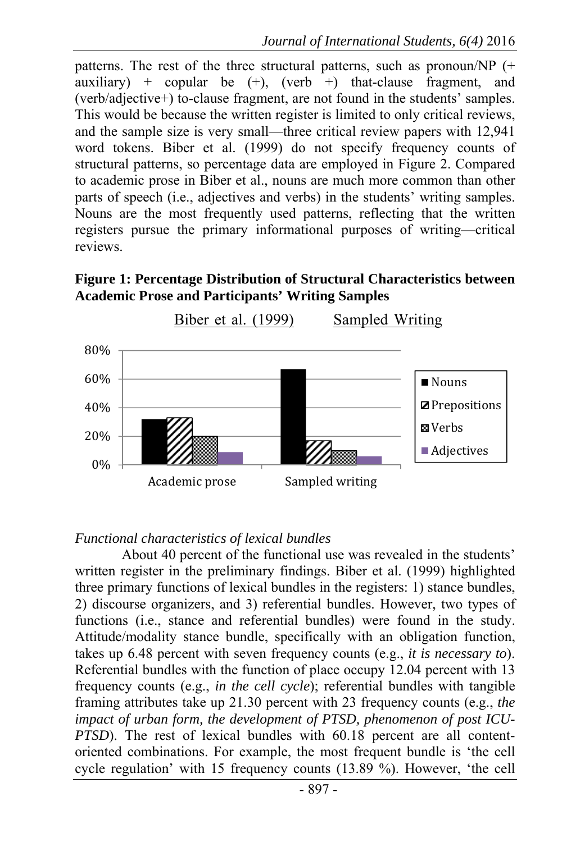patterns. The rest of the three structural patterns, such as pronoun/NP  $(+)$ auxiliary) + copular be  $(+)$ , (verb +) that-clause fragment, and (verb/adjective+) to-clause fragment, are not found in the students' samples. This would be because the written register is limited to only critical reviews, and the sample size is very small—three critical review papers with 12,941 word tokens. Biber et al. (1999) do not specify frequency counts of structural patterns, so percentage data are employed in Figure 2. Compared to academic prose in Biber et al., nouns are much more common than other parts of speech (i.e., adjectives and verbs) in the students' writing samples. Nouns are the most frequently used patterns, reflecting that the written registers pursue the primary informational purposes of writing—critical reviews.

**Figure 1: Percentage Distribution of Structural Characteristics between Academic Prose and Participants' Writing Samples** 



#### *Functional characteristics of lexical bundles*

About 40 percent of the functional use was revealed in the students' written register in the preliminary findings. Biber et al. (1999) highlighted three primary functions of lexical bundles in the registers: 1) stance bundles, 2) discourse organizers, and 3) referential bundles. However, two types of functions (i.e., stance and referential bundles) were found in the study. Attitude/modality stance bundle, specifically with an obligation function, takes up 6.48 percent with seven frequency counts (e.g., *it is necessary to*). Referential bundles with the function of place occupy 12.04 percent with 13 frequency counts (e.g., *in the cell cycle*); referential bundles with tangible framing attributes take up 21.30 percent with 23 frequency counts (e.g., *the impact of urban form, the development of PTSD, phenomenon of post ICU-PTSD*). The rest of lexical bundles with 60.18 percent are all contentoriented combinations. For example, the most frequent bundle is 'the cell cycle regulation' with 15 frequency counts (13.89 %). However, 'the cell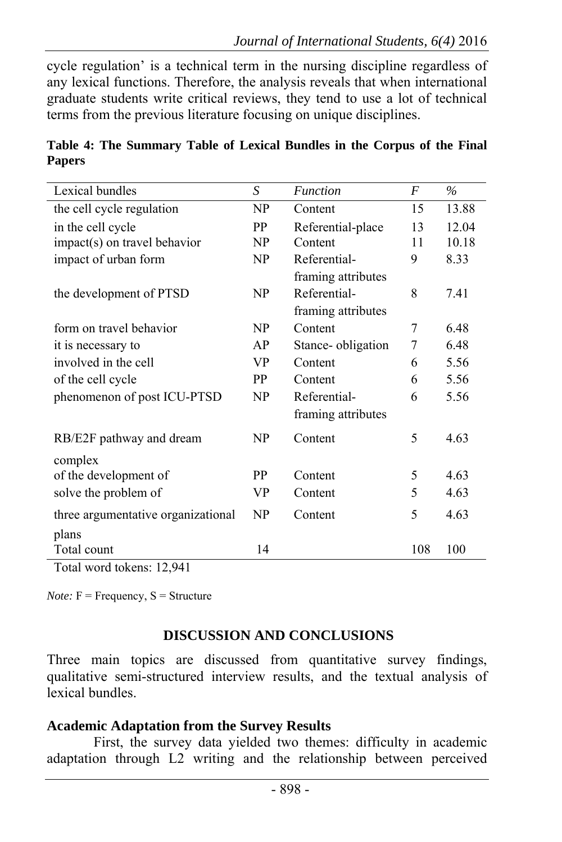cycle regulation' is a technical term in the nursing discipline regardless of any lexical functions. Therefore, the analysis reveals that when international graduate students write critical reviews, they tend to use a lot of technical terms from the previous literature focusing on unique disciplines.

| Lexical bundles                    | S         | <b>Function</b>    | F   | $\%$  |
|------------------------------------|-----------|--------------------|-----|-------|
| the cell cycle regulation          | NP        | Content            | 15  | 13.88 |
| in the cell cycle                  | <b>PP</b> | Referential-place  | 13  | 12.04 |
| impact(s) on travel behavior       | NP        | Content            | 11  | 10.18 |
| impact of urban form               | NP        | Referential-       | 9   | 8.33  |
|                                    |           | framing attributes |     |       |
| the development of PTSD            | NP        | Referential-       | 8   | 7.41  |
|                                    |           | framing attributes |     |       |
| form on travel behavior            | NP        | Content            | 7   | 6.48  |
| it is necessary to                 | AP        | Stance-obligation  | 7   | 6.48  |
| involved in the cell               | <b>VP</b> | Content            | 6   | 5.56  |
| of the cell cycle                  | <b>PP</b> | Content            | 6   | 5.56  |
| phenomenon of post ICU-PTSD        | NP        | Referential-       | 6   | 5.56  |
|                                    |           | framing attributes |     |       |
| RB/E2F pathway and dream           | NP        | Content            | 5   | 4.63  |
| complex                            |           |                    |     |       |
| of the development of              | <b>PP</b> | Content            | 5   | 4.63  |
| solve the problem of               | VP        | Content            | 5   | 4.63  |
| three argumentative organizational | NP        | Content            | 5   | 4.63  |
| plans                              |           |                    |     |       |
| Total count                        | 14        |                    | 108 | 100   |

**Table 4: The Summary Table of Lexical Bundles in the Corpus of the Final Papers** 

Total word tokens: 12,941

*Note:*  $F = F$  =  $F$  =  $S =$   $S$   $F$   $T$ 

## **DISCUSSION AND CONCLUSIONS**

Three main topics are discussed from quantitative survey findings, qualitative semi-structured interview results, and the textual analysis of lexical bundles.

#### **Academic Adaptation from the Survey Results**

First, the survey data yielded two themes: difficulty in academic adaptation through L2 writing and the relationship between perceived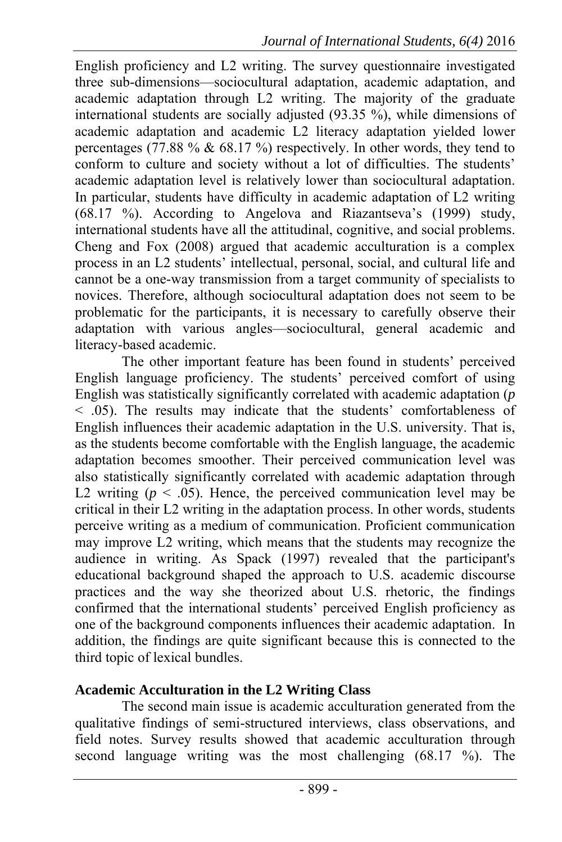English proficiency and L2 writing. The survey questionnaire investigated three sub-dimensions—sociocultural adaptation, academic adaptation, and academic adaptation through L2 writing. The majority of the graduate international students are socially adjusted (93.35 %), while dimensions of academic adaptation and academic L2 literacy adaptation yielded lower percentages (77.88  $\%$  & 68.17  $\%$ ) respectively. In other words, they tend to conform to culture and society without a lot of difficulties. The students' academic adaptation level is relatively lower than sociocultural adaptation. In particular, students have difficulty in academic adaptation of L2 writing (68.17 %). According to Angelova and Riazantseva's (1999) study, international students have all the attitudinal, cognitive, and social problems. Cheng and Fox (2008) argued that academic acculturation is a complex process in an L2 students' intellectual, personal, social, and cultural life and cannot be a one-way transmission from a target community of specialists to novices. Therefore, although sociocultural adaptation does not seem to be problematic for the participants, it is necessary to carefully observe their adaptation with various angles—sociocultural, general academic and literacy-based academic.

The other important feature has been found in students' perceived English language proficiency. The students' perceived comfort of using English was statistically significantly correlated with academic adaptation (*p* < .05). The results may indicate that the students' comfortableness of English influences their academic adaptation in the U.S. university. That is, as the students become comfortable with the English language, the academic adaptation becomes smoother. Their perceived communication level was also statistically significantly correlated with academic adaptation through L2 writing  $(p < .05)$ . Hence, the perceived communication level may be critical in their L2 writing in the adaptation process. In other words, students perceive writing as a medium of communication. Proficient communication may improve L2 writing, which means that the students may recognize the audience in writing. As Spack (1997) revealed that the participant's educational background shaped the approach to U.S. academic discourse practices and the way she theorized about U.S. rhetoric, the findings confirmed that the international students' perceived English proficiency as one of the background components influences their academic adaptation. In addition, the findings are quite significant because this is connected to the third topic of lexical bundles.

# **Academic Acculturation in the L2 Writing Class**

The second main issue is academic acculturation generated from the qualitative findings of semi-structured interviews, class observations, and field notes. Survey results showed that academic acculturation through second language writing was the most challenging (68.17 %). The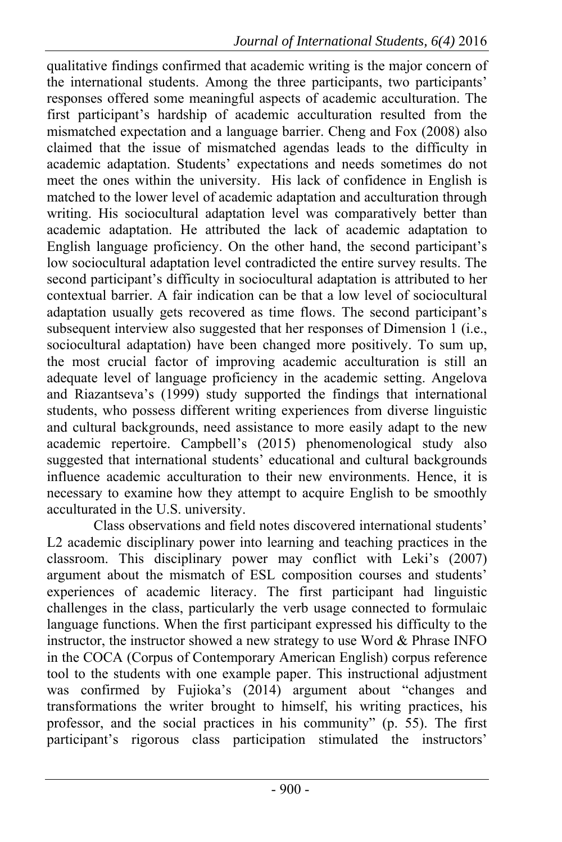qualitative findings confirmed that academic writing is the major concern of the international students. Among the three participants, two participants' responses offered some meaningful aspects of academic acculturation. The first participant's hardship of academic acculturation resulted from the mismatched expectation and a language barrier. Cheng and Fox (2008) also claimed that the issue of mismatched agendas leads to the difficulty in academic adaptation. Students' expectations and needs sometimes do not meet the ones within the university. His lack of confidence in English is matched to the lower level of academic adaptation and acculturation through writing. His sociocultural adaptation level was comparatively better than academic adaptation. He attributed the lack of academic adaptation to English language proficiency. On the other hand, the second participant's low sociocultural adaptation level contradicted the entire survey results. The second participant's difficulty in sociocultural adaptation is attributed to her contextual barrier. A fair indication can be that a low level of sociocultural adaptation usually gets recovered as time flows. The second participant's subsequent interview also suggested that her responses of Dimension 1 (i.e., sociocultural adaptation) have been changed more positively. To sum up, the most crucial factor of improving academic acculturation is still an adequate level of language proficiency in the academic setting. Angelova and Riazantseva's (1999) study supported the findings that international students, who possess different writing experiences from diverse linguistic and cultural backgrounds, need assistance to more easily adapt to the new academic repertoire. Campbell's (2015) phenomenological study also suggested that international students' educational and cultural backgrounds influence academic acculturation to their new environments. Hence, it is necessary to examine how they attempt to acquire English to be smoothly acculturated in the U.S. university.

Class observations and field notes discovered international students' L2 academic disciplinary power into learning and teaching practices in the classroom. This disciplinary power may conflict with Leki's (2007) argument about the mismatch of ESL composition courses and students' experiences of academic literacy. The first participant had linguistic challenges in the class, particularly the verb usage connected to formulaic language functions. When the first participant expressed his difficulty to the instructor, the instructor showed a new strategy to use Word & Phrase INFO in the COCA (Corpus of Contemporary American English) corpus reference tool to the students with one example paper. This instructional adjustment was confirmed by Fujioka's (2014) argument about "changes and transformations the writer brought to himself, his writing practices, his professor, and the social practices in his community" (p. 55). The first participant's rigorous class participation stimulated the instructors'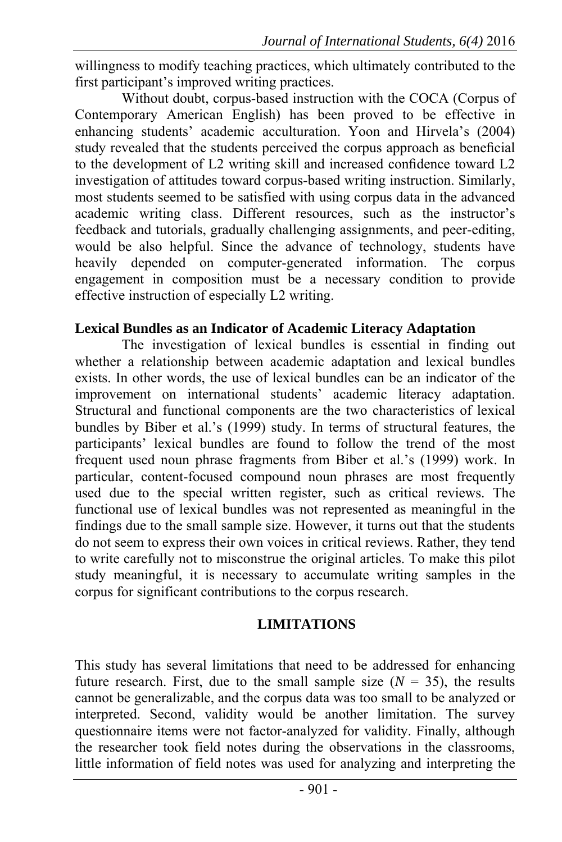willingness to modify teaching practices, which ultimately contributed to the first participant's improved writing practices.

Without doubt, corpus-based instruction with the COCA (Corpus of Contemporary American English) has been proved to be effective in enhancing students' academic acculturation. Yoon and Hirvela's (2004) study revealed that the students perceived the corpus approach as beneficial to the development of L2 writing skill and increased confidence toward L2 investigation of attitudes toward corpus-based writing instruction. Similarly, most students seemed to be satisfied with using corpus data in the advanced academic writing class. Different resources, such as the instructor's feedback and tutorials, gradually challenging assignments, and peer-editing, would be also helpful. Since the advance of technology, students have heavily depended on computer-generated information. The corpus engagement in composition must be a necessary condition to provide effective instruction of especially L2 writing.

#### **Lexical Bundles as an Indicator of Academic Literacy Adaptation**

The investigation of lexical bundles is essential in finding out whether a relationship between academic adaptation and lexical bundles exists. In other words, the use of lexical bundles can be an indicator of the improvement on international students' academic literacy adaptation. Structural and functional components are the two characteristics of lexical bundles by Biber et al.'s (1999) study. In terms of structural features, the participants' lexical bundles are found to follow the trend of the most frequent used noun phrase fragments from Biber et al.'s (1999) work. In particular, content-focused compound noun phrases are most frequently used due to the special written register, such as critical reviews. The functional use of lexical bundles was not represented as meaningful in the findings due to the small sample size. However, it turns out that the students do not seem to express their own voices in critical reviews. Rather, they tend to write carefully not to misconstrue the original articles. To make this pilot study meaningful, it is necessary to accumulate writing samples in the corpus for significant contributions to the corpus research.

#### **LIMITATIONS**

This study has several limitations that need to be addressed for enhancing future research. First, due to the small sample size  $(N = 35)$ , the results cannot be generalizable, and the corpus data was too small to be analyzed or interpreted. Second, validity would be another limitation. The survey questionnaire items were not factor-analyzed for validity. Finally, although the researcher took field notes during the observations in the classrooms, little information of field notes was used for analyzing and interpreting the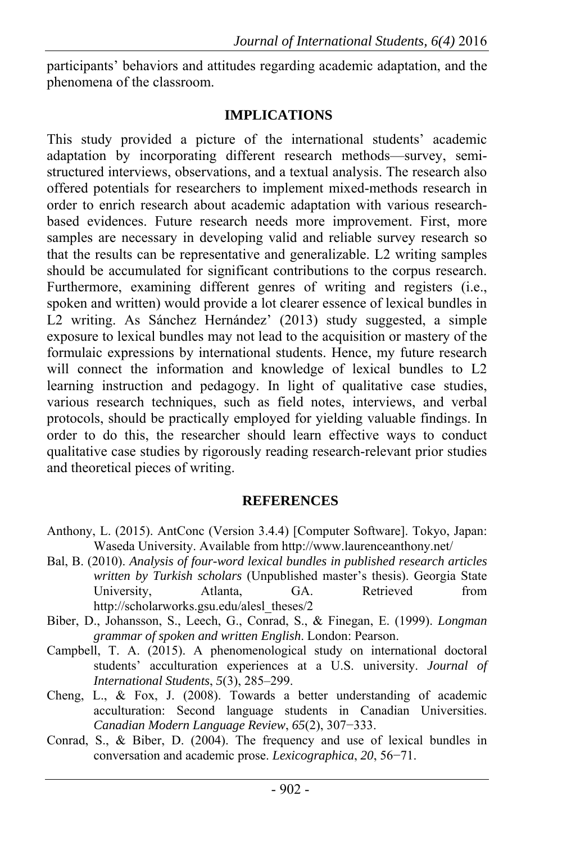participants' behaviors and attitudes regarding academic adaptation, and the phenomena of the classroom.

## **IMPLICATIONS**

This study provided a picture of the international students' academic adaptation by incorporating different research methods—survey, semistructured interviews, observations, and a textual analysis. The research also offered potentials for researchers to implement mixed-methods research in order to enrich research about academic adaptation with various researchbased evidences. Future research needs more improvement. First, more samples are necessary in developing valid and reliable survey research so that the results can be representative and generalizable. L2 writing samples should be accumulated for significant contributions to the corpus research. Furthermore, examining different genres of writing and registers (i.e., spoken and written) would provide a lot clearer essence of lexical bundles in L2 writing. As Sánchez Hernández' (2013) study suggested, a simple exposure to lexical bundles may not lead to the acquisition or mastery of the formulaic expressions by international students. Hence, my future research will connect the information and knowledge of lexical bundles to L2 learning instruction and pedagogy. In light of qualitative case studies, various research techniques, such as field notes, interviews, and verbal protocols, should be practically employed for yielding valuable findings. In order to do this, the researcher should learn effective ways to conduct qualitative case studies by rigorously reading research-relevant prior studies and theoretical pieces of writing.

## **REFERENCES**

- Anthony, L. (2015). AntConc (Version 3.4.4) [Computer Software]. Tokyo, Japan: Waseda University. Available from http://www.laurenceanthony.net/
- Bal, B. (2010). *Analysis of four-word lexical bundles in published research articles written by Turkish scholars* (Unpublished master's thesis). Georgia State University, Atlanta, GA. Retrieved from http://scholarworks.gsu.edu/alesl\_theses/2
- Biber, D., Johansson, S., Leech, G., Conrad, S., & Finegan, E. (1999). *Longman grammar of spoken and written English*. London: Pearson.
- Campbell, T. A. (2015). A phenomenological study on international doctoral students' acculturation experiences at a U.S. university. *Journal of International Students*, *5*(3), 285–299.
- Cheng, L., & Fox, J. (2008). Towards a better understanding of academic acculturation: Second language students in Canadian Universities. *Canadian Modern Language Review*, *65*(2), 307−333.
- Conrad, S., & Biber, D. (2004). The frequency and use of lexical bundles in conversation and academic prose. *Lexicographica*, *20*, 56−71.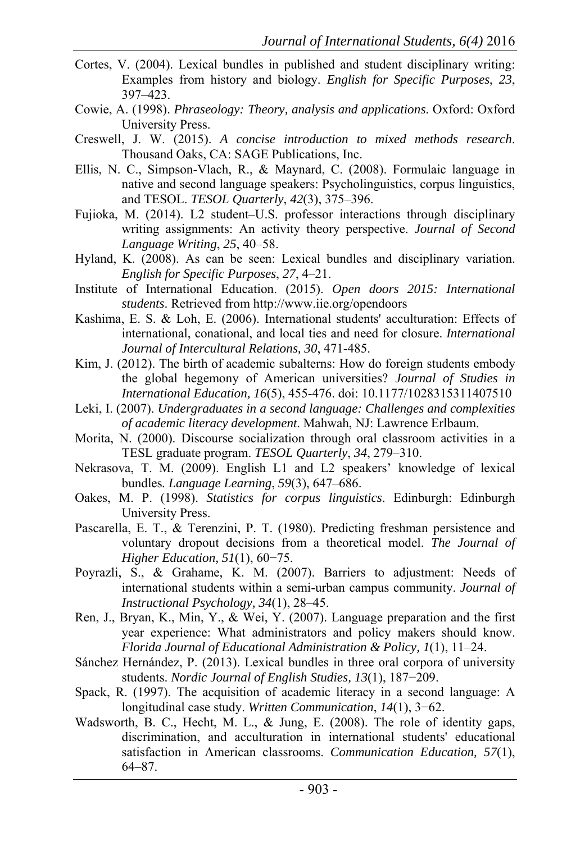- Cortes, V. (2004). Lexical bundles in published and student disciplinary writing: Examples from history and biology. *English for Specific Purposes*, *23*, 397–423.
- Cowie, A. (1998). *Phraseology: Theory, analysis and applications*. Oxford: Oxford University Press.
- Creswell, J. W. (2015). *A concise introduction to mixed methods research*. Thousand Oaks, CA: SAGE Publications, Inc.
- Ellis, N. C., Simpson-Vlach, R., & Maynard, C. (2008). Formulaic language in native and second language speakers: Psycholinguistics, corpus linguistics, and TESOL. *TESOL Quarterly*, *42*(3), 375–396.
- Fujioka, M. (2014). L2 student–U.S. professor interactions through disciplinary writing assignments: An activity theory perspective. *Journal of Second Language Writing*, *25*, 40–58.
- Hyland, K. (2008). As can be seen: Lexical bundles and disciplinary variation. *English for Specific Purposes*, *27*, 4–21.
- Institute of International Education. (2015). *Open doors 2015: International students*. Retrieved from http://www.iie.org/opendoors
- Kashima, E. S. & Loh, E. (2006). International students' acculturation: Effects of international, conational, and local ties and need for closure. *International Journal of Intercultural Relations, 30*, 471-485.
- Kim, J. (2012). The birth of academic subalterns: How do foreign students embody the global hegemony of American universities? *Journal of Studies in International Education, 16*(5), 455-476. doi: 10.1177/1028315311407510
- Leki, I. (2007). *Undergraduates in a second language: Challenges and complexities of academic literacy development*. Mahwah, NJ: Lawrence Erlbaum.
- Morita, N. (2000). Discourse socialization through oral classroom activities in a TESL graduate program. *TESOL Quarterly*, *34*, 279–310.
- Nekrasova, T. M. (2009). English L1 and L2 speakers' knowledge of lexical bundles*. Language Learning*, *59*(3), 647–686.
- Oakes, M. P. (1998). *Statistics for corpus linguistics*. Edinburgh: Edinburgh University Press.
- Pascarella, E. T., & Terenzini, P. T. (1980). Predicting freshman persistence and voluntary dropout decisions from a theoretical model. *The Journal of Higher Education, 51*(1), 60−75.
- Poyrazli, S., & Grahame, K. M. (2007). Barriers to adjustment: Needs of international students within a semi-urban campus community. *Journal of Instructional Psychology, 34*(1), 28–45.
- Ren, J., Bryan, K., Min, Y., & Wei, Y. (2007). Language preparation and the first year experience: What administrators and policy makers should know. *Florida Journal of Educational Administration & Policy, 1*(1), 11–24.
- Sánchez Hernández, P. (2013). Lexical bundles in three oral corpora of university students. *Nordic Journal of English Studies, 13*(1), 187−209.
- Spack, R. (1997). The acquisition of academic literacy in a second language: A longitudinal case study. *Written Communication*, *14*(1), 3−62.
- Wadsworth, B. C., Hecht, M. L., & Jung, E. (2008). The role of identity gaps, discrimination, and acculturation in international students' educational satisfaction in American classrooms. *Communication Education, 57*(1), 64–87.